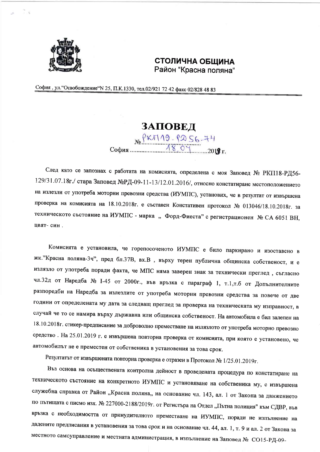

## СТОЛИЧНА ОБШИНА Район "Красна поляна"

София, ул. "Освобождение" N 25, П.К.1330, тел.02/921 72 42 факс 02/828 48 83

**3ATOBE** $\pi$ <br> **EXTIAS PASE** 

След като се запознах с работата на комисията, определена с моя Заповед № РКП18-РД56-129/31.07.18г./ стара Заповед №РД-09-11-13/12.01.2016/, относно констатиране местоположението на излезли от употреба моторни превозни средства (ИУМПС), установих, че в резултат от извършена проверка на комисията на 18.10.2018г. е съставен Констативен протокол № 013046/18.10.2018г. за техническото състояние на ИУМПС - марка "Форд-Фиеста" с регистрационен № СА 6051 ВН, цвят-син.

Комисията е установила, че горепосоченото ИУМПС е било паркирано и изоставено в жк. "Красна поляна-3ч", пред бл.37В, вх.В , върху терен публична общинска собственост, и е излязло от употреба поради факта, че МПС няма заверен знак за технически преглед, съгласно чл.32д от Наредба № 1-45 от 2000г., във връзка с параграф 1, т.1,т.б от Допълнителните разпоредби на Наредба за излезлите от употреба моторни превозни средства за повече от две години от определената му дата за следващ преглед за проверка на техническата му изправност, в случай че то се намира върху държавна или общинска собственост. На автомобила е бил залепен на 18.10.2018г. стикер-предписание за доброволно преместване на излязлото от употреба моторно превозно средство. На 25.01.2019 г. е извършена повторна проверка от комисията, при която е установено, че автомобилът не е преместен от собственика в установения за това срок.

Резултатът от извършената повторна проверка е отразен в Протокол № 1/25.01.2019г.

Въз основа на осъществената контролна дейност в проведената процедура по констатиране на техническото състояние на конкретното ИУМПС и установяване на собственика му, е извършена служебна справка от Район "Красна поляна,, на основание чл. 143, ал. 1 от Закона за движението по пътищата с писмо изх. № 227000-2188/2019г. от Регистъра на Отдел "Пътна полиция" към СДВР, във връзка с необходимостта от принудителното преместване на ИУМПС, поради не изпълнение на дадените предписания в установения за това срок и на основание чл. 44, ал. 1, т. 9 и ал. 2 от Закона за местното самоуправление и местната администрация, в изпълнение на Заповед № СО15-РД-09